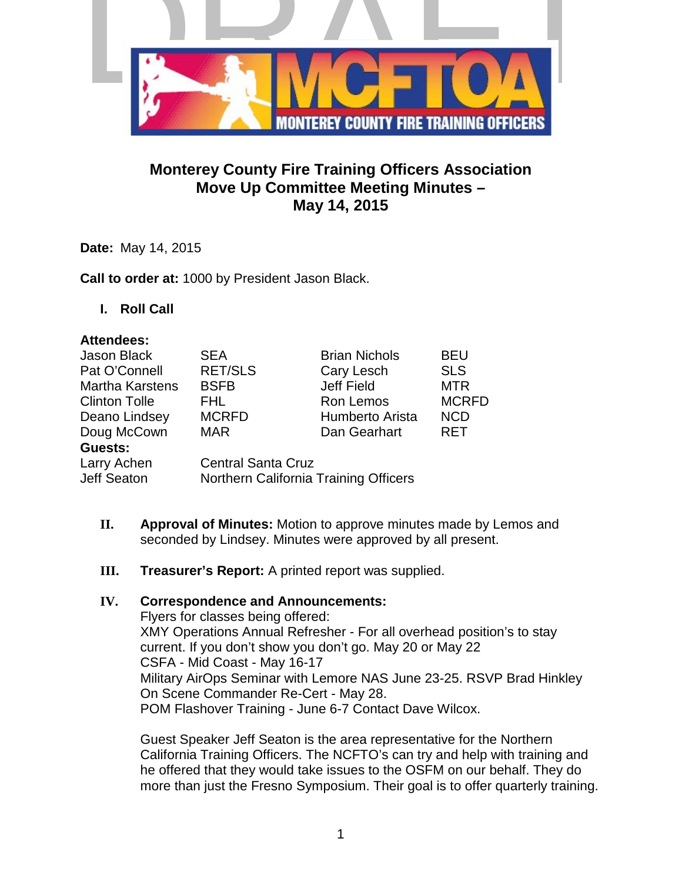

## **Monterey County Fire Training Officers Association Move Up Committee Meeting Minutes – May 14, 2015**

**Date:** May 14, 2015

**Call to order at:** 1000 by President Jason Black.

**I. Roll Call**

#### **Attendees:**

| Jason Black            | <b>SEA</b>                            | <b>Brian Nichols</b> | <b>BEU</b>   |
|------------------------|---------------------------------------|----------------------|--------------|
| Pat O'Connell          | <b>RET/SLS</b>                        | Cary Lesch           | <b>SLS</b>   |
| <b>Martha Karstens</b> | <b>BSFB</b>                           | <b>Jeff Field</b>    | <b>MTR</b>   |
| <b>Clinton Tolle</b>   | FHL.                                  | Ron Lemos            | <b>MCRFD</b> |
| Deano Lindsey          | <b>MCRFD</b>                          | Humberto Arista      | <b>NCD</b>   |
| Doug McCown            | <b>MAR</b>                            | Dan Gearhart         | <b>RET</b>   |
| <b>Guests:</b>         |                                       |                      |              |
| Larry Achen            | <b>Central Santa Cruz</b>             |                      |              |
| Jeff Seaton            | Northern California Training Officers |                      |              |

- **II. Approval of Minutes:** Motion to approve minutes made by Lemos and seconded by Lindsey. Minutes were approved by all present.
- **III. Treasurer's Report:** A printed report was supplied.

#### **IV. Correspondence and Announcements:**

Flyers for classes being offered: XMY Operations Annual Refresher - For all overhead position's to stay current. If you don't show you don't go. May 20 or May 22 CSFA - Mid Coast - May 16-17 Military AirOps Seminar with Lemore NAS June 23-25. RSVP Brad Hinkley On Scene Commander Re-Cert - May 28. POM Flashover Training - June 6-7 Contact Dave Wilcox.

Guest Speaker Jeff Seaton is the area representative for the Northern California Training Officers. The NCFTO's can try and help with training and he offered that they would take issues to the OSFM on our behalf. They do more than just the Fresno Symposium. Their goal is to offer quarterly training.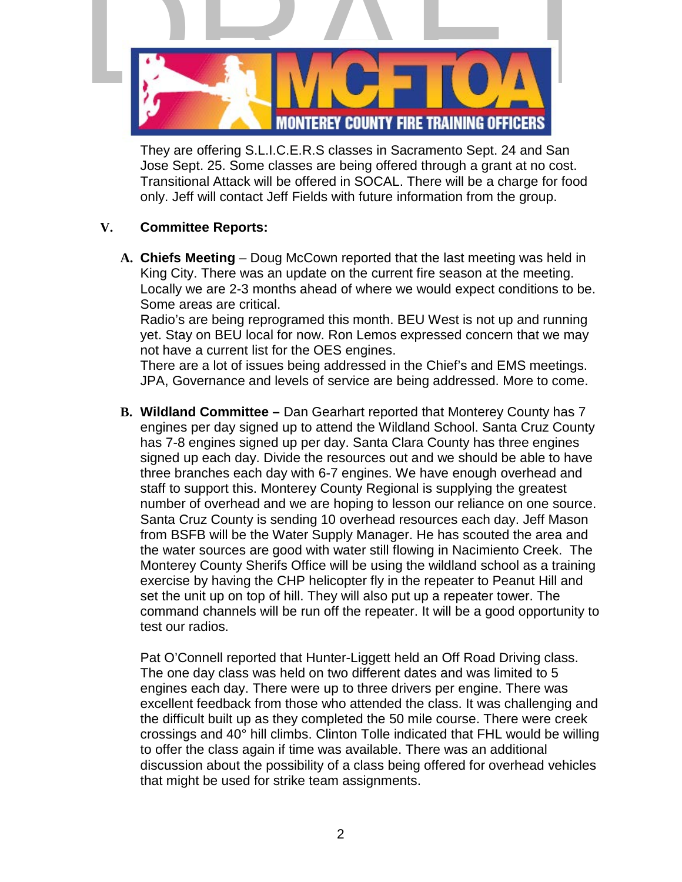

They are offering S.L.I.C.E.R.S classes in Sacramento Sept. 24 and San Jose Sept. 25. Some classes are being offered through a grant at no cost. Transitional Attack will be offered in SOCAL. There will be a charge for food only. Jeff will contact Jeff Fields with future information from the group.

## **V. Committee Reports:**

**A. Chiefs Meeting** – Doug McCown reported that the last meeting was held in King City. There was an update on the current fire season at the meeting. Locally we are 2-3 months ahead of where we would expect conditions to be. Some areas are critical.

Radio's are being reprogramed this month. BEU West is not up and running yet. Stay on BEU local for now. Ron Lemos expressed concern that we may not have a current list for the OES engines.

There are a lot of issues being addressed in the Chief's and EMS meetings. JPA, Governance and levels of service are being addressed. More to come.

**B. Wildland Committee –** Dan Gearhart reported that Monterey County has 7 engines per day signed up to attend the Wildland School. Santa Cruz County has 7-8 engines signed up per day. Santa Clara County has three engines signed up each day. Divide the resources out and we should be able to have three branches each day with 6-7 engines. We have enough overhead and staff to support this. Monterey County Regional is supplying the greatest number of overhead and we are hoping to lesson our reliance on one source. Santa Cruz County is sending 10 overhead resources each day. Jeff Mason from BSFB will be the Water Supply Manager. He has scouted the area and the water sources are good with water still flowing in Nacimiento Creek. The Monterey County Sherifs Office will be using the wildland school as a training exercise by having the CHP helicopter fly in the repeater to Peanut Hill and set the unit up on top of hill. They will also put up a repeater tower. The command channels will be run off the repeater. It will be a good opportunity to test our radios.

Pat O'Connell reported that Hunter-Liggett held an Off Road Driving class. The one day class was held on two different dates and was limited to 5 engines each day. There were up to three drivers per engine. There was excellent feedback from those who attended the class. It was challenging and the difficult built up as they completed the 50 mile course. There were creek crossings and 40° hill climbs. Clinton Tolle indicated that FHL would be willing to offer the class again if time was available. There was an additional discussion about the possibility of a class being offered for overhead vehicles that might be used for strike team assignments.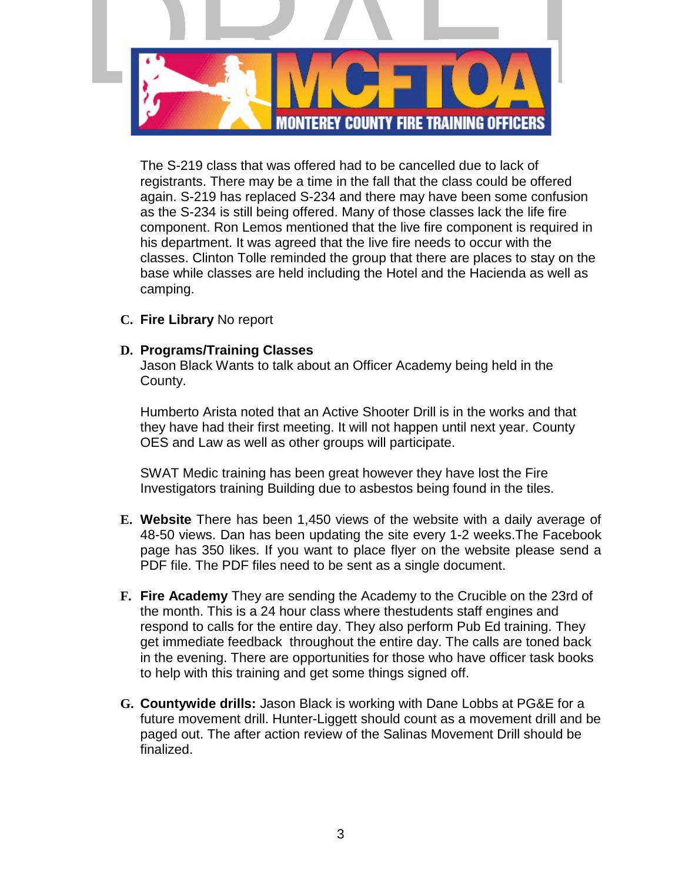

The S-219 class that was offered had to be cancelled due to lack of registrants. There may be a time in the fall that the class could be offered again. S-219 has replaced S-234 and there may have been some confusion as the S-234 is still being offered. Many of those classes lack the life fire component. Ron Lemos mentioned that the live fire component is required in his department. It was agreed that the live fire needs to occur with the classes. Clinton Tolle reminded the group that there are places to stay on the base while classes are held including the Hotel and the Hacienda as well as camping.

**C. Fire Library** No report

## **D. Programs/Training Classes**

Jason Black Wants to talk about an Officer Academy being held in the County.

Humberto Arista noted that an Active Shooter Drill is in the works and that they have had their first meeting. It will not happen until next year. County OES and Law as well as other groups will participate.

SWAT Medic training has been great however they have lost the Fire Investigators training Building due to asbestos being found in the tiles.

- **E. Website** There has been 1,450 views of the website with a daily average of 48-50 views. Dan has been updating the site every 1-2 weeks.The Facebook page has 350 likes. If you want to place flyer on the website please send a PDF file. The PDF files need to be sent as a single document.
- **F. Fire Academy** They are sending the Academy to the Crucible on the 23rd of the month. This is a 24 hour class where thestudents staff engines and respond to calls for the entire day. They also perform Pub Ed training. They get immediate feedback throughout the entire day. The calls are toned back in the evening. There are opportunities for those who have officer task books to help with this training and get some things signed off.
- **G. Countywide drills:** Jason Black is working with Dane Lobbs at PG&E for a future movement drill. Hunter-Liggett should count as a movement drill and be paged out. The after action review of the Salinas Movement Drill should be finalized.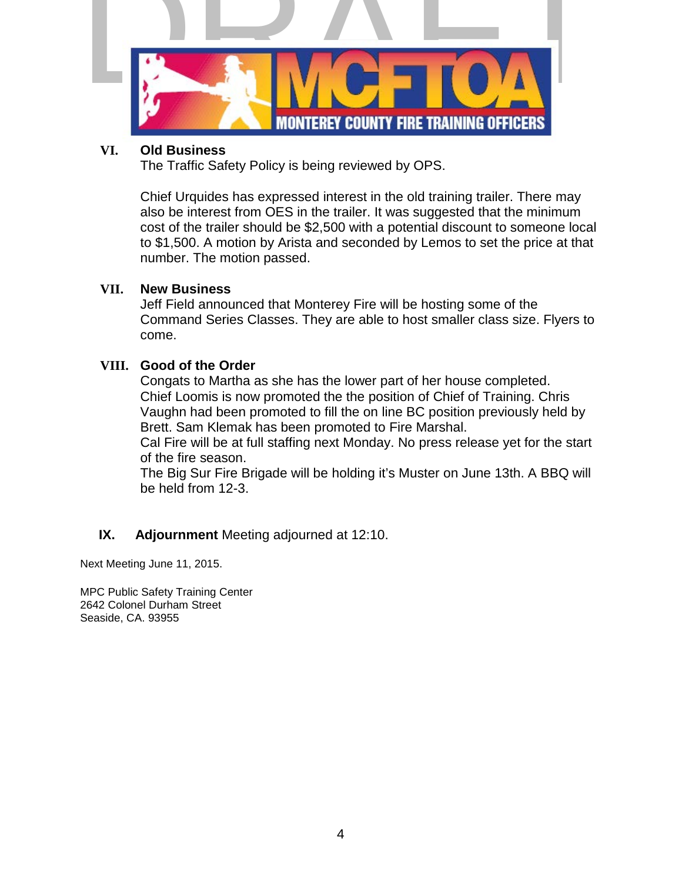

#### **VI. Old Business**

The Traffic Safety Policy is being reviewed by OPS.

Chief Urquides has expressed interest in the old training trailer. There may also be interest from OES in the trailer. It was suggested that the minimum cost of the trailer should be \$2,500 with a potential discount to someone local to \$1,500. A motion by Arista and seconded by Lemos to set the price at that number. The motion passed.

## **VII. New Business**

Jeff Field announced that Monterey Fire will be hosting some of the Command Series Classes. They are able to host smaller class size. Flyers to come.

## **VIII. Good of the Order**

Congats to Martha as she has the lower part of her house completed. Chief Loomis is now promoted the the position of Chief of Training. Chris Vaughn had been promoted to fill the on line BC position previously held by Brett. Sam Klemak has been promoted to Fire Marshal.

Cal Fire will be at full staffing next Monday. No press release yet for the start of the fire season.

The Big Sur Fire Brigade will be holding it's Muster on June 13th. A BBQ will be held from 12-3.

## **IX. Adjournment** Meeting adjourned at 12:10.

Next Meeting June 11, 2015.

MPC Public Safety Training Center 2642 Colonel Durham Street Seaside, CA. 93955